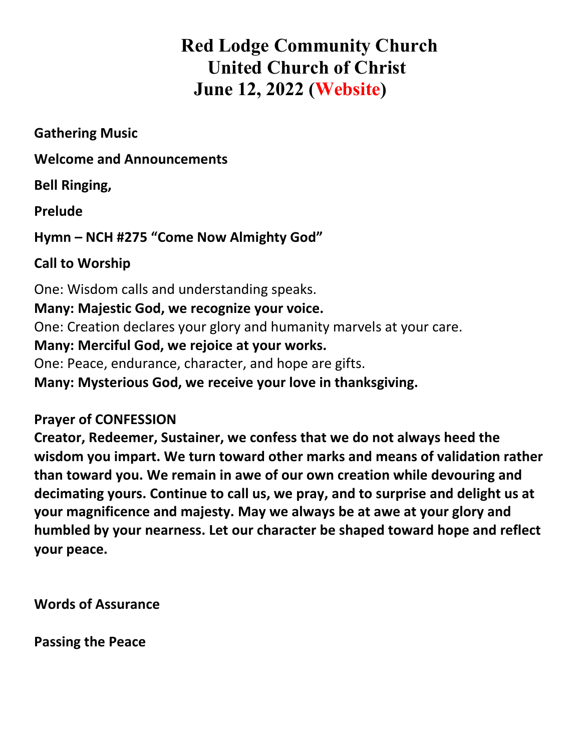# **Red Lodge Community Church United Church of Christ June 12, 2022 (Website)**

**Gathering Music**

**Welcome and Announcements**

**Bell Ringing,** 

**Prelude** 

**Hymn – NCH #275 "Come Now Almighty God"** 

**Call to Worship**

One: Wisdom calls and understanding speaks. **Many: Majestic God, we recognize your voice.** One: Creation declares your glory and humanity marvels at your care. **Many: Merciful God, we rejoice at your works.** One: Peace, endurance, character, and hope are gifts. **Many: Mysterious God, we receive your love in thanksgiving.**

## **Prayer of CONFESSION**

**Creator, Redeemer, Sustainer, we confess that we do not always heed the wisdom you impart. We turn toward other marks and means of validation rather than toward you. We remain in awe of our own creation while devouring and decimating yours. Continue to call us, we pray, and to surprise and delight us at your magnificence and majesty. May we always be at awe at your glory and humbled by your nearness. Let our character be shaped toward hope and reflect your peace.**

**Words of Assurance**

**Passing the Peace**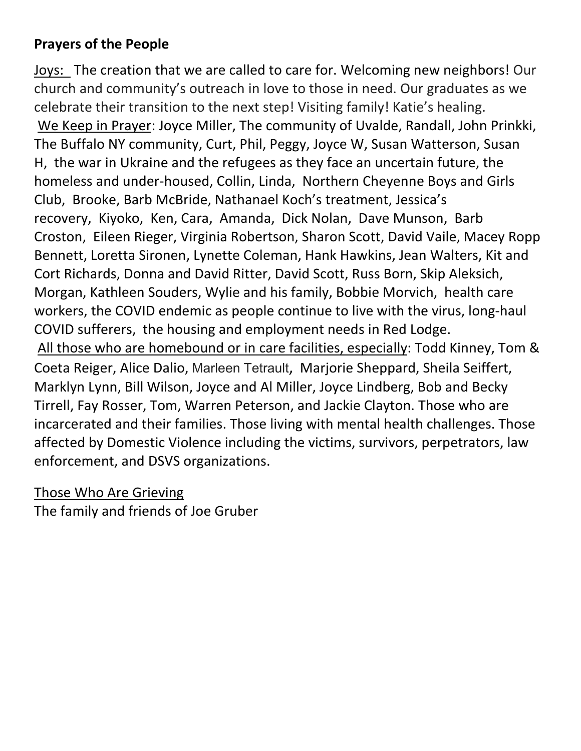## **Prayers of the People**

Joys: The creation that we are called to care for. Welcoming new neighbors! Our church and community's outreach in love to those in need. Our graduates as we celebrate their transition to the next step! Visiting family! Katie's healing. We Keep in Prayer: Joyce Miller, The community of Uvalde, Randall, John Prinkki, The Buffalo NY community, Curt, Phil, Peggy, Joyce W, Susan Watterson, Susan H, the war in Ukraine and the refugees as they face an uncertain future, the homeless and under-housed, Collin, Linda, Northern Cheyenne Boys and Girls Club, Brooke, Barb McBride, Nathanael Koch's treatment, Jessica's recovery, Kiyoko, Ken, Cara, Amanda, Dick Nolan, Dave Munson, Barb Croston, Eileen Rieger, Virginia Robertson, Sharon Scott, David Vaile, Macey Ropp Bennett, Loretta Sironen, Lynette Coleman, Hank Hawkins, Jean Walters, Kit and Cort Richards, Donna and David Ritter, David Scott, Russ Born, Skip Aleksich, Morgan, Kathleen Souders, Wylie and his family, Bobbie Morvich, health care workers, the COVID endemic as people continue to live with the virus, long-haul COVID sufferers, the housing and employment needs in Red Lodge. All those who are homebound or in care facilities, especially: Todd Kinney, Tom & Coeta Reiger, Alice Dalio, Marleen Tetrault, Marjorie Sheppard, Sheila Seiffert, Marklyn Lynn, Bill Wilson, Joyce and Al Miller, Joyce Lindberg, Bob and Becky Tirrell, Fay Rosser, Tom, Warren Peterson, and Jackie Clayton. Those who are incarcerated and their families. Those living with mental health challenges. Those affected by Domestic Violence including the victims, survivors, perpetrators, law enforcement, and DSVS organizations.

### Those Who Are Grieving

The family and friends of Joe Gruber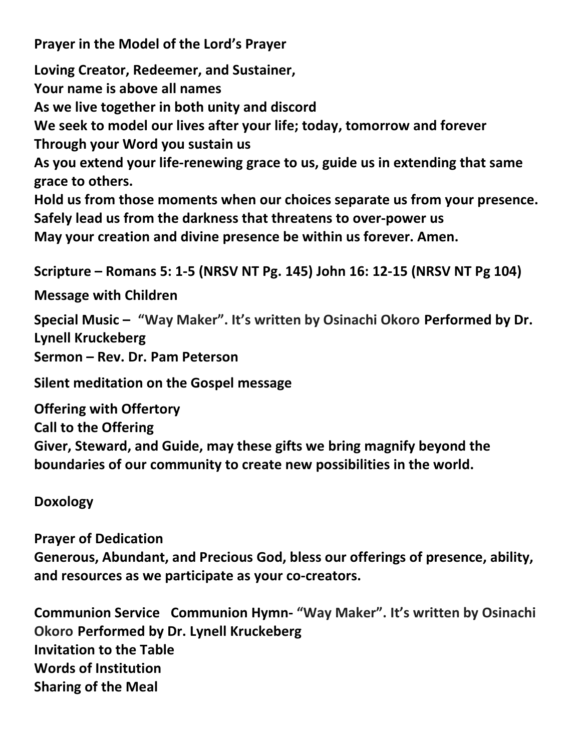**Prayer in the Model of the Lord's Prayer** 

**Loving Creator, Redeemer, and Sustainer, Your name is above all names As we live together in both unity and discord We seek to model our lives after your life; today, tomorrow and forever Through your Word you sustain us As you extend your life-renewing grace to us, guide us in extending that same grace to others. Hold us from those moments when our choices separate us from your presence. Safely lead us from the darkness that threatens to over-power us May your creation and divine presence be within us forever. Amen.** 

**Scripture – Romans 5: 1-5 (NRSV NT Pg. 145) John 16: 12-15 (NRSV NT Pg 104)**

**Message with Children**

**Special Music – "Way Maker". It's written by Osinachi Okoro Performed by Dr. Lynell Kruckeberg Sermon – Rev. Dr. Pam Peterson** 

**Silent meditation on the Gospel message** 

**Offering with Offertory Call to the Offering Giver, Steward, and Guide, may these gifts we bring magnify beyond the boundaries of our community to create new possibilities in the world.**

**Doxology**

**Prayer of Dedication Generous, Abundant, and Precious God, bless our offerings of presence, ability, and resources as we participate as your co-creators.**

**Communion Service Communion Hymn- "Way Maker". It's written by Osinachi Okoro Performed by Dr. Lynell Kruckeberg Invitation to the Table Words of Institution Sharing of the Meal**